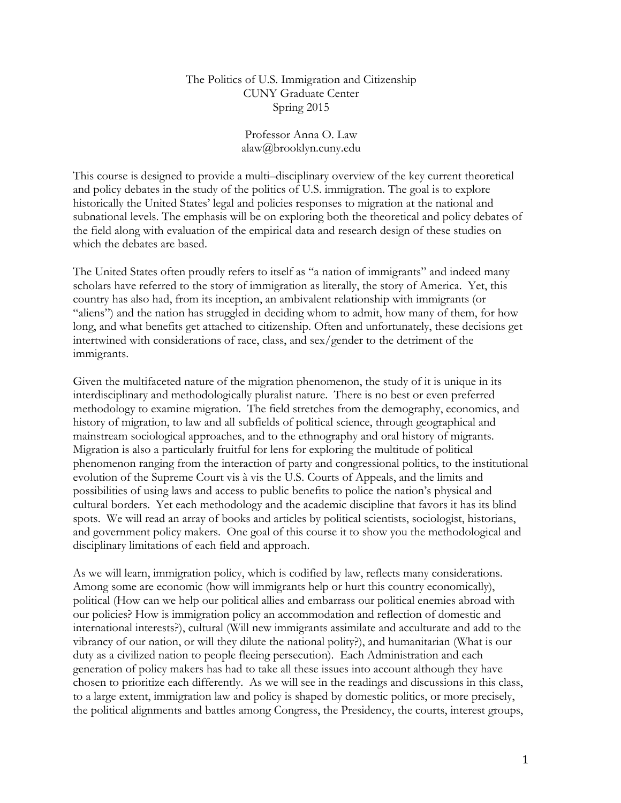#### The Politics of U.S. Immigration and Citizenship CUNY Graduate Center Spring 2015

#### Professor Anna O. Law alaw@brooklyn.cuny.edu

This course is designed to provide a multi–disciplinary overview of the key current theoretical and policy debates in the study of the politics of U.S. immigration. The goal is to explore historically the United States' legal and policies responses to migration at the national and subnational levels. The emphasis will be on exploring both the theoretical and policy debates of the field along with evaluation of the empirical data and research design of these studies on which the debates are based.

The United States often proudly refers to itself as "a nation of immigrants" and indeed many scholars have referred to the story of immigration as literally, the story of America. Yet, this country has also had, from its inception, an ambivalent relationship with immigrants (or "aliens") and the nation has struggled in deciding whom to admit, how many of them, for how long, and what benefits get attached to citizenship. Often and unfortunately, these decisions get intertwined with considerations of race, class, and sex/gender to the detriment of the immigrants.

Given the multifaceted nature of the migration phenomenon, the study of it is unique in its interdisciplinary and methodologically pluralist nature. There is no best or even preferred methodology to examine migration. The field stretches from the demography, economics, and history of migration, to law and all subfields of political science, through geographical and mainstream sociological approaches, and to the ethnography and oral history of migrants. Migration is also a particularly fruitful for lens for exploring the multitude of political phenomenon ranging from the interaction of party and congressional politics, to the institutional evolution of the Supreme Court vis à vis the U.S. Courts of Appeals, and the limits and possibilities of using laws and access to public benefits to police the nation's physical and cultural borders. Yet each methodology and the academic discipline that favors it has its blind spots. We will read an array of books and articles by political scientists, sociologist, historians, and government policy makers. One goal of this course it to show you the methodological and disciplinary limitations of each field and approach.

As we will learn, immigration policy, which is codified by law, reflects many considerations. Among some are economic (how will immigrants help or hurt this country economically), political (How can we help our political allies and embarrass our political enemies abroad with our policies? How is immigration policy an accommodation and reflection of domestic and international interests?), cultural (Will new immigrants assimilate and acculturate and add to the vibrancy of our nation, or will they dilute the national polity?), and humanitarian (What is our duty as a civilized nation to people fleeing persecution). Each Administration and each generation of policy makers has had to take all these issues into account although they have chosen to prioritize each differently. As we will see in the readings and discussions in this class, to a large extent, immigration law and policy is shaped by domestic politics, or more precisely, the political alignments and battles among Congress, the Presidency, the courts, interest groups,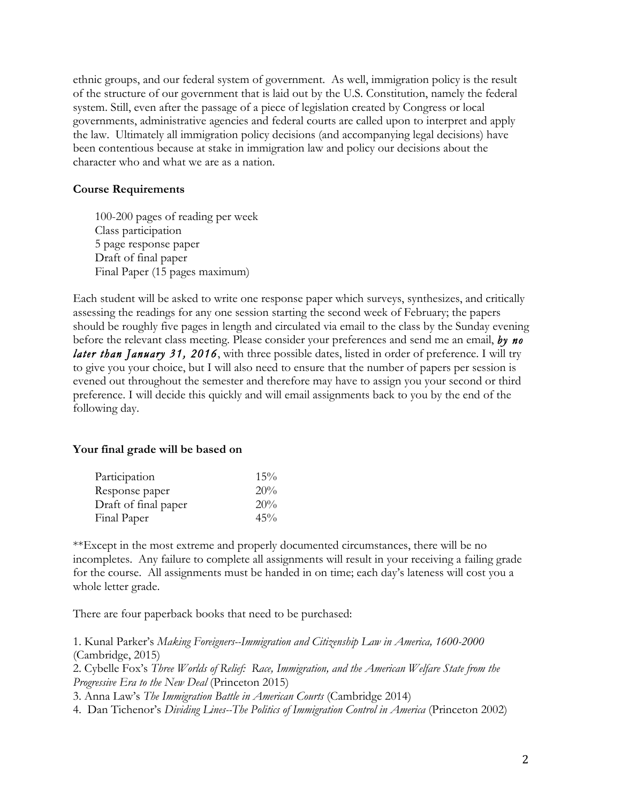ethnic groups, and our federal system of government. As well, immigration policy is the result of the structure of our government that is laid out by the U.S. Constitution, namely the federal system. Still, even after the passage of a piece of legislation created by Congress or local governments, administrative agencies and federal courts are called upon to interpret and apply the law. Ultimately all immigration policy decisions (and accompanying legal decisions) have been contentious because at stake in immigration law and policy our decisions about the character who and what we are as a nation.

#### **Course Requirements**

100-200 pages of reading per week Class participation 5 page response paper Draft of final paper Final Paper (15 pages maximum)

Each student will be asked to write one response paper which surveys, synthesizes, and critically assessing the readings for any one session starting the second week of February; the papers should be roughly five pages in length and circulated via email to the class by the Sunday evening before the relevant class meeting. Please consider your preferences and send me an email, *by no later than January 31, 2016*, with three possible dates, listed in order of preference. I will try to give you your choice, but I will also need to ensure that the number of papers per session is evened out throughout the semester and therefore may have to assign you your second or third preference. I will decide this quickly and will email assignments back to you by the end of the following day.

#### **Your final grade will be based on**

| Participation        | 15% |
|----------------------|-----|
| Response paper       | 20% |
| Draft of final paper | 20% |
| Final Paper          | 45% |

\*\*Except in the most extreme and properly documented circumstances, there will be no incompletes. Any failure to complete all assignments will result in your receiving a failing grade for the course. All assignments must be handed in on time; each day's lateness will cost you a whole letter grade.

There are four paperback books that need to be purchased:

1. Kunal Parker's *Making Foreigners--Immigration and Citizenship Law in America, 1600-2000*  (Cambridge, 2015) 2. Cybelle Fox's *Three Worlds of Relief: Race, Immigration, and the American Welfare State from the Progressive Era to the New Deal* (Princeton 2015) 3. Anna Law's *The Immigration Battle in American Courts* (Cambridge 2014)

4. Dan Tichenor's *Dividing Lines--The Politics of Immigration Control in America* (Princeton 2002)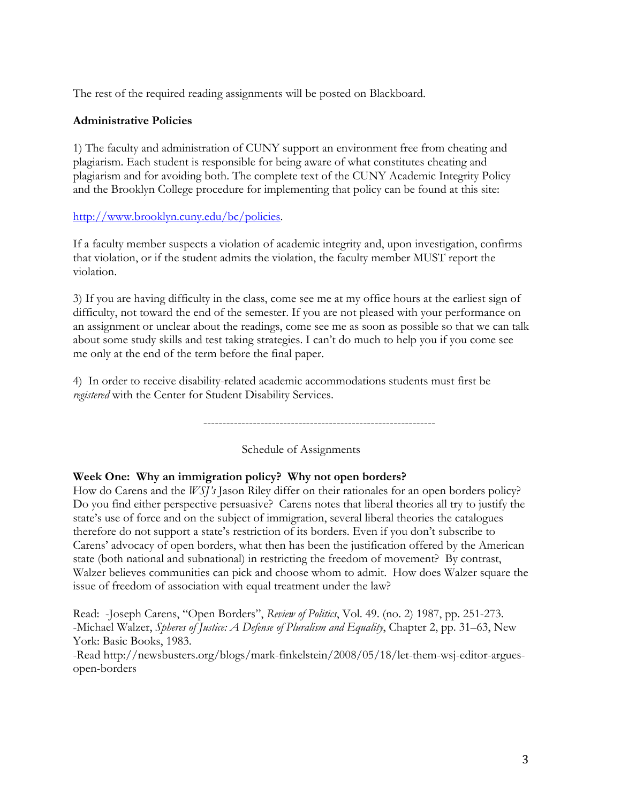The rest of the required reading assignments will be posted on Blackboard.

# **Administrative Policies**

1) The faculty and administration of CUNY support an environment free from cheating and plagiarism. Each student is responsible for being aware of what constitutes cheating and plagiarism and for avoiding both. The complete text of the CUNY Academic Integrity Policy and the Brooklyn College procedure for implementing that policy can be found at this site:

# http://www.brooklyn.cuny.edu/bc/policies.

If a faculty member suspects a violation of academic integrity and, upon investigation, confirms that violation, or if the student admits the violation, the faculty member MUST report the violation.

3) If you are having difficulty in the class, come see me at my office hours at the earliest sign of difficulty, not toward the end of the semester. If you are not pleased with your performance on an assignment or unclear about the readings, come see me as soon as possible so that we can talk about some study skills and test taking strategies. I can't do much to help you if you come see me only at the end of the term before the final paper.

4) In order to receive disability-related academic accommodations students must first be *registered* with the Center for Student Disability Services.

-------------------------------------------------------------

Schedule of Assignments

# **Week One: Why an immigration policy? Why not open borders?**

How do Carens and the *WSJ's* Jason Riley differ on their rationales for an open borders policy? Do you find either perspective persuasive? Carens notes that liberal theories all try to justify the state's use of force and on the subject of immigration, several liberal theories the catalogues therefore do not support a state's restriction of its borders. Even if you don't subscribe to Carens' advocacy of open borders, what then has been the justification offered by the American state (both national and subnational) in restricting the freedom of movement? By contrast, Walzer believes communities can pick and choose whom to admit. How does Walzer square the issue of freedom of association with equal treatment under the law?

Read: -Joseph Carens, "Open Borders", *Review of Politics*, Vol. 49. (no. 2) 1987, pp. 251-273. -Michael Walzer, *Spheres of Justice: A Defense of Pluralism and Equality*, Chapter 2, pp. 31–63, New York: Basic Books, 1983.

-Read http://newsbusters.org/blogs/mark-finkelstein/2008/05/18/let-them-wsj-editor-arguesopen-borders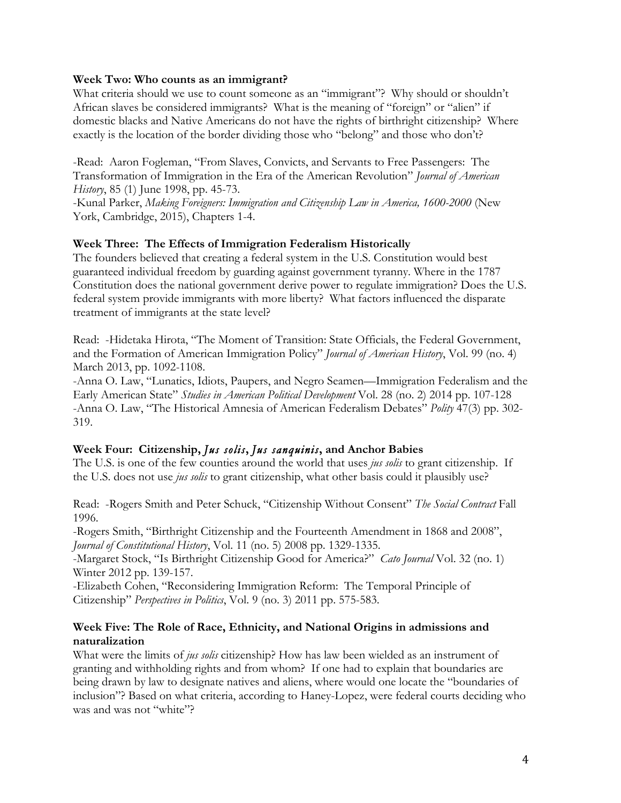#### **Week Two: Who counts as an immigrant?**

What criteria should we use to count someone as an "immigrant"? Why should or shouldn't African slaves be considered immigrants? What is the meaning of "foreign" or "alien" if domestic blacks and Native Americans do not have the rights of birthright citizenship? Where exactly is the location of the border dividing those who "belong" and those who don't?

-Read: Aaron Fogleman, "From Slaves, Convicts, and Servants to Free Passengers: The Transformation of Immigration in the Era of the American Revolution" *Journal of American History*, 85 (1) June 1998, pp. 45-73.

-Kunal Parker, *Making Foreigners: Immigration and Citizenship Law in America, 1600-2000* (New York, Cambridge, 2015), Chapters 1-4.

#### **Week Three: The Effects of Immigration Federalism Historically**

The founders believed that creating a federal system in the U.S. Constitution would best guaranteed individual freedom by guarding against government tyranny. Where in the 1787 Constitution does the national government derive power to regulate immigration? Does the U.S. federal system provide immigrants with more liberty? What factors influenced the disparate treatment of immigrants at the state level?

Read: -Hidetaka Hirota, "The Moment of Transition: State Officials, the Federal Government, and the Formation of American Immigration Policy" *Journal of American History*, Vol. 99 (no. 4) March 2013, pp. 1092-1108.

-Anna O. Law, "Lunatics, Idiots, Paupers, and Negro Seamen—Immigration Federalism and the Early American State" *Studies in American Political Development* Vol. 28 (no. 2) 2014 pp. 107-128 -Anna O. Law, "The Historical Amnesia of American Federalism Debates" *Polity* 47(3) pp. 302- 319.

### **Week Four: Citizenship,** *Jus solis***,** *Jus sanquinis***, and Anchor Babies**

The U.S. is one of the few counties around the world that uses *jus solis* to grant citizenship. If the U.S. does not use *jus solis* to grant citizenship, what other basis could it plausibly use?

Read: -Rogers Smith and Peter Schuck, "Citizenship Without Consent" *The Social Contract* Fall 1996.

-Rogers Smith, "Birthright Citizenship and the Fourteenth Amendment in 1868 and 2008", *Journal of Constitutional History*, Vol. 11 (no. 5) 2008 pp. 1329-1335.

-Margaret Stock, "Is Birthright Citizenship Good for America?" *Cato Journal* Vol. 32 (no. 1) Winter 2012 pp. 139-157.

-Elizabeth Cohen, "Reconsidering Immigration Reform: The Temporal Principle of Citizenship" *Perspectives in Politics*, Vol. 9 (no. 3) 2011 pp. 575-583.

### **Week Five: The Role of Race, Ethnicity, and National Origins in admissions and naturalization**

What were the limits of *jus solis* citizenship? How has law been wielded as an instrument of granting and withholding rights and from whom? If one had to explain that boundaries are being drawn by law to designate natives and aliens, where would one locate the "boundaries of inclusion"? Based on what criteria, according to Haney-Lopez, were federal courts deciding who was and was not "white"?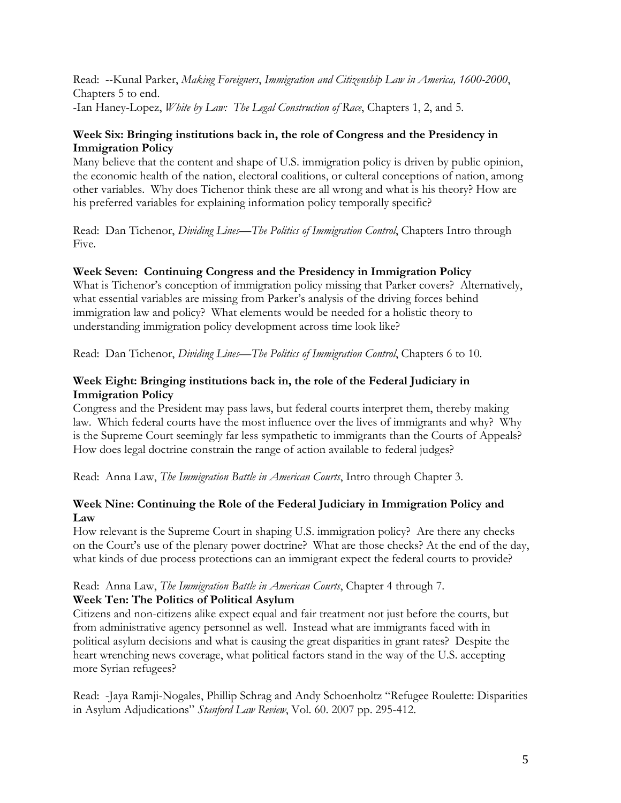Read: --Kunal Parker, *Making Foreigners*, *Immigration and Citizenship Law in America, 1600-2000*, Chapters 5 to end. -Ian Haney-Lopez, *White by Law: The Legal Construction of Race*, Chapters 1, 2, and 5.

## **Week Six: Bringing institutions back in, the role of Congress and the Presidency in Immigration Policy**

Many believe that the content and shape of U.S. immigration policy is driven by public opinion, the economic health of the nation, electoral coalitions, or culteral conceptions of nation, among other variables. Why does Tichenor think these are all wrong and what is his theory? How are his preferred variables for explaining information policy temporally specific?

Read: Dan Tichenor, *Dividing Lines—The Politics of Immigration Control*, Chapters Intro through Five.

## **Week Seven: Continuing Congress and the Presidency in Immigration Policy**

What is Tichenor's conception of immigration policy missing that Parker covers? Alternatively, what essential variables are missing from Parker's analysis of the driving forces behind immigration law and policy? What elements would be needed for a holistic theory to understanding immigration policy development across time look like?

Read: Dan Tichenor, *Dividing Lines—The Politics of Immigration Control*, Chapters 6 to 10.

### **Week Eight: Bringing institutions back in, the role of the Federal Judiciary in Immigration Policy**

Congress and the President may pass laws, but federal courts interpret them, thereby making law. Which federal courts have the most influence over the lives of immigrants and why? Why is the Supreme Court seemingly far less sympathetic to immigrants than the Courts of Appeals? How does legal doctrine constrain the range of action available to federal judges?

Read: Anna Law, *The Immigration Battle in American Courts*, Intro through Chapter 3.

# **Week Nine: Continuing the Role of the Federal Judiciary in Immigration Policy and Law**

How relevant is the Supreme Court in shaping U.S. immigration policy? Are there any checks on the Court's use of the plenary power doctrine? What are those checks? At the end of the day, what kinds of due process protections can an immigrant expect the federal courts to provide?

#### Read: Anna Law, *The Immigration Battle in American Courts*, Chapter 4 through 7. **Week Ten: The Politics of Political Asylum**

Citizens and non-citizens alike expect equal and fair treatment not just before the courts, but from administrative agency personnel as well. Instead what are immigrants faced with in political asylum decisions and what is causing the great disparities in grant rates? Despite the heart wrenching news coverage, what political factors stand in the way of the U.S. accepting more Syrian refugees?

Read: -Jaya Ramji-Nogales, Phillip Schrag and Andy Schoenholtz "Refugee Roulette: Disparities in Asylum Adjudications" *Stanford Law Review*, Vol. 60. 2007 pp. 295-412.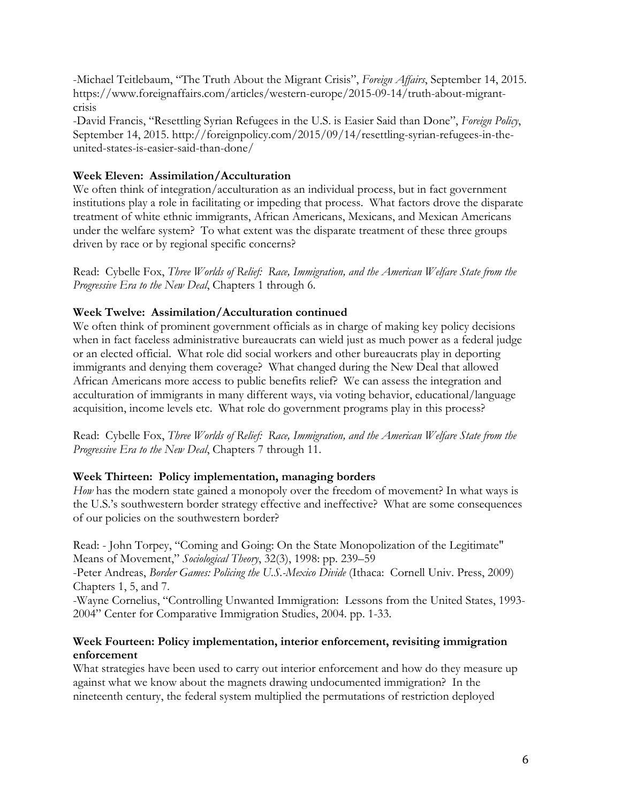-Michael Teitlebaum, "The Truth About the Migrant Crisis", *Foreign Affairs*, September 14, 2015. https://www.foreignaffairs.com/articles/western-europe/2015-09-14/truth-about-migrantcrisis

-David Francis, "Resettling Syrian Refugees in the U.S. is Easier Said than Done", *Foreign Policy*, September 14, 2015. http://foreignpolicy.com/2015/09/14/resettling-syrian-refugees-in-theunited-states-is-easier-said-than-done/

## **Week Eleven: Assimilation/Acculturation**

We often think of integration/acculturation as an individual process, but in fact government institutions play a role in facilitating or impeding that process. What factors drove the disparate treatment of white ethnic immigrants, African Americans, Mexicans, and Mexican Americans under the welfare system? To what extent was the disparate treatment of these three groups driven by race or by regional specific concerns?

Read: Cybelle Fox, *Three Worlds of Relief: Race, Immigration, and the American Welfare State from the Progressive Era to the New Deal*, Chapters 1 through 6.

## **Week Twelve: Assimilation/Acculturation continued**

We often think of prominent government officials as in charge of making key policy decisions when in fact faceless administrative bureaucrats can wield just as much power as a federal judge or an elected official. What role did social workers and other bureaucrats play in deporting immigrants and denying them coverage? What changed during the New Deal that allowed African Americans more access to public benefits relief? We can assess the integration and acculturation of immigrants in many different ways, via voting behavior, educational/language acquisition, income levels etc. What role do government programs play in this process?

Read: Cybelle Fox, *Three Worlds of Relief: Race, Immigration, and the American Welfare State from the Progressive Era to the New Deal*, Chapters 7 through 11.

### **Week Thirteen: Policy implementation, managing borders**

*How* has the modern state gained a monopoly over the freedom of movement? In what ways is the U.S.'s southwestern border strategy effective and ineffective? What are some consequences of our policies on the southwestern border?

Read: - John Torpey, "Coming and Going: On the State Monopolization of the Legitimate" Means of Movement," *Sociological Theory*, 32(3), 1998: pp. 239–59 -Peter Andreas, *Border Games: Policing the U.S.-Mexico Divide* (Ithaca: Cornell Univ. Press, 2009) Chapters 1, 5, and 7.

-Wayne Cornelius, "Controlling Unwanted Immigration: Lessons from the United States, 1993- 2004" Center for Comparative Immigration Studies, 2004. pp. 1-33.

## **Week Fourteen: Policy implementation, interior enforcement, revisiting immigration enforcement**

What strategies have been used to carry out interior enforcement and how do they measure up against what we know about the magnets drawing undocumented immigration? In the nineteenth century, the federal system multiplied the permutations of restriction deployed